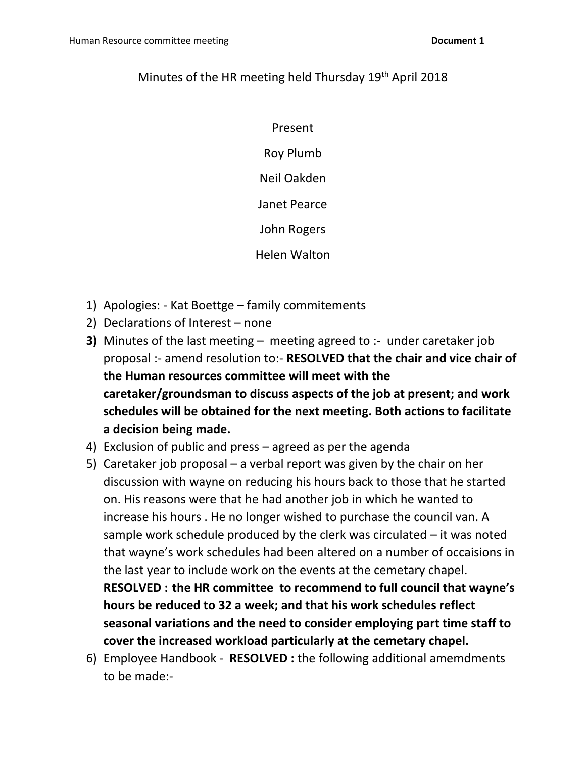## Minutes of the HR meeting held Thursday 19<sup>th</sup> April 2018

Present Roy Plumb

Neil Oakden

Janet Pearce

John Rogers

Helen Walton

- 1) Apologies: Kat Boettge family commitements
- 2) Declarations of Interest none
- **3)** Minutes of the last meeting meeting agreed to :- under caretaker job proposal :- amend resolution to:- **RESOLVED that the chair and vice chair of the Human resources committee will meet with the caretaker/groundsman to discuss aspects of the job at present; and work schedules will be obtained for the next meeting. Both actions to facilitate a decision being made.**
- 4) Exclusion of public and press agreed as per the agenda
- 5) Caretaker job proposal a verbal report was given by the chair on her discussion with wayne on reducing his hours back to those that he started on. His reasons were that he had another job in which he wanted to increase his hours . He no longer wished to purchase the council van. A sample work schedule produced by the clerk was circulated – it was noted that wayne's work schedules had been altered on a number of occaisions in the last year to include work on the events at the cemetary chapel. **RESOLVED : the HR committee to recommend to full council that wayne's hours be reduced to 32 a week; and that his work schedules reflect seasonal variations and the need to consider employing part time staff to** 
	- **cover the increased workload particularly at the cemetary chapel.**
- 6) Employee Handbook **RESOLVED :** the following additional amemdments to be made:-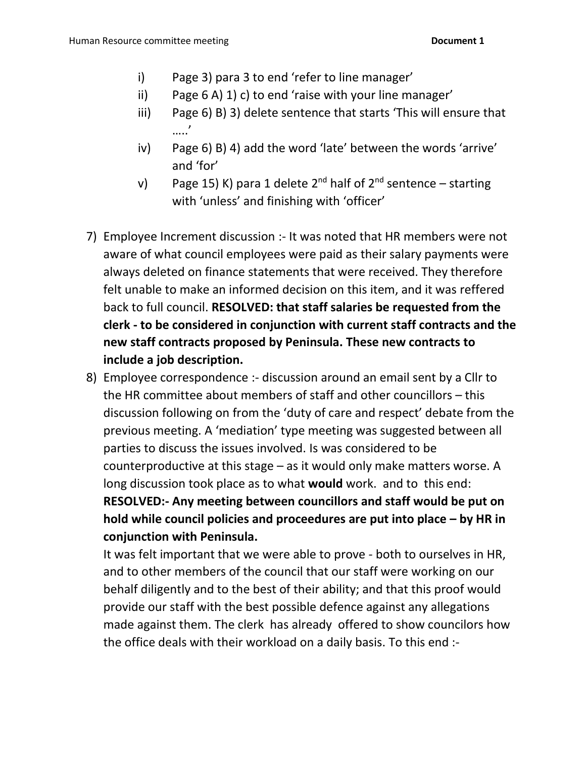- i) Page 3) para 3 to end 'refer to line manager'
- ii) Page 6 A) 1) c) to end 'raise with your line manager'
- iii) Page 6) B) 3) delete sentence that starts 'This will ensure that …..'
- iv) Page 6) B) 4) add the word 'late' between the words 'arrive' and 'for'
- v) Page 15) K) para 1 delete 2<sup>nd</sup> half of 2<sup>nd</sup> sentence starting with 'unless' and finishing with 'officer'
- 7) Employee Increment discussion :- It was noted that HR members were not aware of what council employees were paid as their salary payments were always deleted on finance statements that were received. They therefore felt unable to make an informed decision on this item, and it was reffered back to full council. **RESOLVED: that staff salaries be requested from the clerk - to be considered in conjunction with current staff contracts and the new staff contracts proposed by Peninsula. These new contracts to include a job description.**
- 8) Employee correspondence :- discussion around an email sent by a Cllr to the HR committee about members of staff and other councillors – this discussion following on from the 'duty of care and respect' debate from the previous meeting. A 'mediation' type meeting was suggested between all parties to discuss the issues involved. Is was considered to be counterproductive at this stage – as it would only make matters worse. A long discussion took place as to what **would** work. and to this end: **RESOLVED:- Any meeting between councillors and staff would be put on hold while council policies and proceedures are put into place – by HR in conjunction with Peninsula.**

It was felt important that we were able to prove - both to ourselves in HR, and to other members of the council that our staff were working on our behalf diligently and to the best of their ability; and that this proof would provide our staff with the best possible defence against any allegations made against them. The clerk has already offered to show councilors how the office deals with their workload on a daily basis. To this end :-